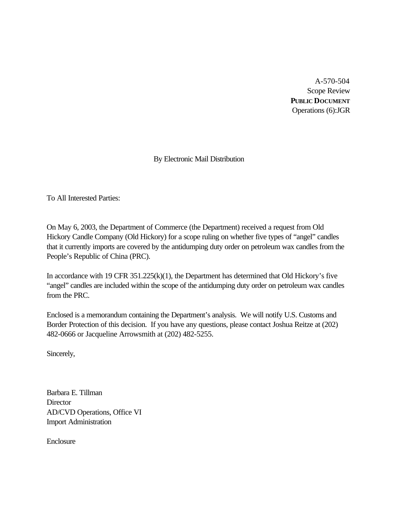A-570-504 Scope Review **PUBLIC DOCUMENT** Operations (6):JGR

By Electronic Mail Distribution

To All Interested Parties:

On May 6, 2003, the Department of Commerce (the Department) received a request from Old Hickory Candle Company (Old Hickory) for a scope ruling on whether five types of "angel" candles that it currently imports are covered by the antidumping duty order on petroleum wax candles from the People's Republic of China (PRC).

In accordance with 19 CFR 351.225(k)(1), the Department has determined that Old Hickory's five "angel" candles are included within the scope of the antidumping duty order on petroleum wax candles from the PRC.

Enclosed is a memorandum containing the Department's analysis. We will notify U.S. Customs and Border Protection of this decision. If you have any questions, please contact Joshua Reitze at (202) 482-0666 or Jacqueline Arrowsmith at (202) 482-5255.

Sincerely,

Barbara E. Tillman **Director** AD/CVD Operations, Office VI Import Administration

Enclosure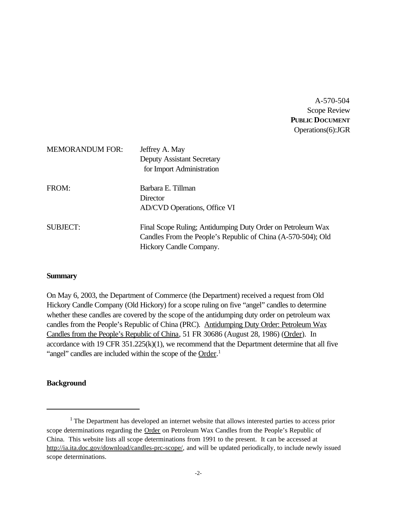A-570-504 Scope Review **PUBLIC DOCUMENT** Operations(6):JGR

| <b>MEMORANDUM FOR:</b> | Jeffrey A. May<br><b>Deputy Assistant Secretary</b><br>for Import Administration                                                                       |
|------------------------|--------------------------------------------------------------------------------------------------------------------------------------------------------|
| FROM:                  | Barbara E. Tillman<br>Director<br>AD/CVD Operations, Office VI                                                                                         |
| <b>SUBJECT:</b>        | Final Scope Ruling; Antidumping Duty Order on Petroleum Wax<br>Candles From the People's Republic of China (A-570-504); Old<br>Hickory Candle Company. |

#### **Summary**

On May 6, 2003, the Department of Commerce (the Department) received a request from Old Hickory Candle Company (Old Hickory) for a scope ruling on five "angel" candles to determine whether these candles are covered by the scope of the antidumping duty order on petroleum wax candles from the People's Republic of China (PRC). Antidumping Duty Order: Petroleum Wax Candles from the People's Republic of China, 51 FR 30686 (August 28, 1986) (Order). In accordance with 19 CFR  $351.225(k)(1)$ , we recommend that the Department determine that all five "angel" candles are included within the scope of the Order.<sup>1</sup>

### **Background**

<sup>&</sup>lt;sup>1</sup> The Department has developed an internet website that allows interested parties to access prior scope determinations regarding the Order on Petroleum Wax Candles from the People's Republic of China. This website lists all scope determinations from 1991 to the present. It can be accessed at http://ia.ita.doc.gov/download/candles-prc-scope/, and will be updated periodically, to include newly issued scope determinations.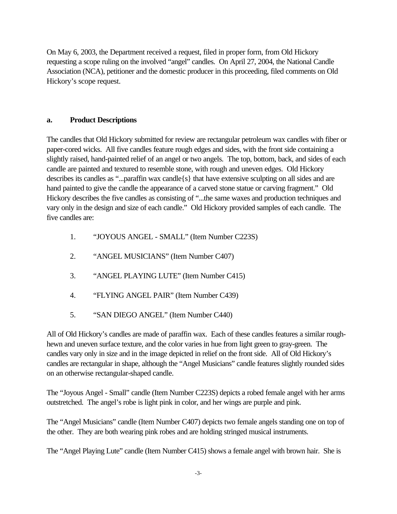On May 6, 2003, the Department received a request, filed in proper form, from Old Hickory requesting a scope ruling on the involved "angel" candles. On April 27, 2004, the National Candle Association (NCA), petitioner and the domestic producer in this proceeding, filed comments on Old Hickory's scope request.

## **a. Product Descriptions**

The candles that Old Hickory submitted for review are rectangular petroleum wax candles with fiber or paper-cored wicks. All five candles feature rough edges and sides, with the front side containing a slightly raised, hand-painted relief of an angel or two angels. The top, bottom, back, and sides of each candle are painted and textured to resemble stone, with rough and uneven edges. Old Hickory describes its candles as "...paraffin wax candle{s} that have extensive sculpting on all sides and are hand painted to give the candle the appearance of a carved stone statue or carving fragment." Old Hickory describes the five candles as consisting of "...the same waxes and production techniques and vary only in the design and size of each candle." Old Hickory provided samples of each candle. The five candles are:

- 1. "JOYOUS ANGEL SMALL" (Item Number C223S)
- 2. "ANGEL MUSICIANS" (Item Number C407)
- 3. "ANGEL PLAYING LUTE" (Item Number C415)
- 4. "FLYING ANGEL PAIR" (Item Number C439)
- 5. "SAN DIEGO ANGEL" (Item Number C440)

All of Old Hickory's candles are made of paraffin wax. Each of these candles features a similar roughhewn and uneven surface texture, and the color varies in hue from light green to gray-green. The candles vary only in size and in the image depicted in relief on the front side. All of Old Hickory's candles are rectangular in shape, although the "Angel Musicians" candle features slightly rounded sides on an otherwise rectangular-shaped candle.

The "Joyous Angel - Small" candle (Item Number C223S) depicts a robed female angel with her arms outstretched. The angel's robe is light pink in color, and her wings are purple and pink.

The "Angel Musicians" candle (Item Number C407) depicts two female angels standing one on top of the other. They are both wearing pink robes and are holding stringed musical instruments.

The "Angel Playing Lute" candle (Item Number C415) shows a female angel with brown hair. She is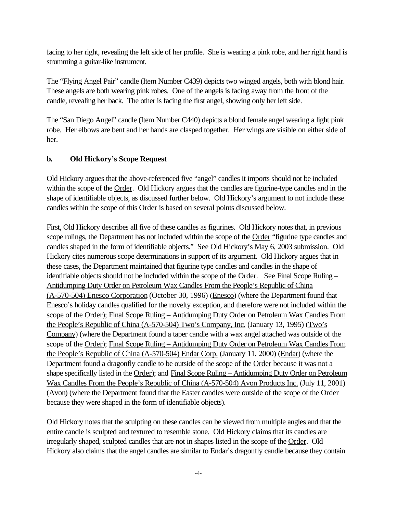facing to her right, revealing the left side of her profile. She is wearing a pink robe, and her right hand is strumming a guitar-like instrument.

The "Flying Angel Pair" candle (Item Number C439) depicts two winged angels, both with blond hair. These angels are both wearing pink robes. One of the angels is facing away from the front of the candle, revealing her back. The other is facing the first angel, showing only her left side.

The "San Diego Angel" candle (Item Number C440) depicts a blond female angel wearing a light pink robe. Her elbows are bent and her hands are clasped together. Her wings are visible on either side of her.

# **b. Old Hickory's Scope Request**

Old Hickory argues that the above-referenced five "angel" candles it imports should not be included within the scope of the Order. Old Hickory argues that the candles are figurine-type candles and in the shape of identifiable objects, as discussed further below. Old Hickory's argument to not include these candles within the scope of this Order is based on several points discussed below.

First, Old Hickory describes all five of these candles as figurines. Old Hickory notes that, in previous scope rulings, the Department has not included within the scope of the Order "figurine type candles and candles shaped in the form of identifiable objects." See Old Hickory's May 6, 2003 submission. Old Hickory cites numerous scope determinations in support of its argument. Old Hickory argues that in these cases, the Department maintained that figurine type candles and candles in the shape of identifiable objects should not be included within the scope of the Order. See Final Scope Ruling – Antidumping Duty Order on Petroleum Wax Candles From the People's Republic of China (A-570-504) Enesco Corporation (October 30, 1996) (Enesco) (where the Department found that Enesco's holiday candles qualified for the novelty exception, and therefore were not included within the scope of the Order); Final Scope Ruling – Antidumping Duty Order on Petroleum Wax Candles From the People's Republic of China (A-570-504) Two's Company, Inc. (January 13, 1995) (Two's Company) (where the Department found a taper candle with a wax angel attached was outside of the scope of the Order); Final Scope Ruling – Antidumping Duty Order on Petroleum Wax Candles From the People's Republic of China (A-570-504) Endar Corp. (January 11, 2000) (Endar) (where the Department found a dragonfly candle to be outside of the scope of the Order because it was not a shape specifically listed in the Order); and Final Scope Ruling – Antidumping Duty Order on Petroleum Wax Candles From the People's Republic of China (A-570-504) Avon Products Inc. (July 11, 2001) (Avon) (where the Department found that the Easter candles were outside of the scope of the Order because they were shaped in the form of identifiable objects).

Old Hickory notes that the sculpting on these candles can be viewed from multiple angles and that the entire candle is sculpted and textured to resemble stone. Old Hickory claims that its candles are irregularly shaped, sculpted candles that are not in shapes listed in the scope of the Order. Old Hickory also claims that the angel candles are similar to Endar's dragonfly candle because they contain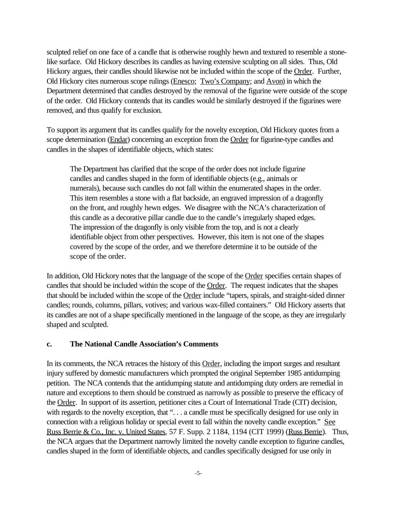sculpted relief on one face of a candle that is otherwise roughly hewn and textured to resemble a stonelike surface. Old Hickory describes its candles as having extensive sculpting on all sides. Thus, Old Hickory argues, their candles should likewise not be included within the scope of the Order. Further, Old Hickory cites numerous scope rulings (Enesco; Two's Company; and Avon) in which the Department determined that candles destroyed by the removal of the figurine were outside of the scope of the order. Old Hickory contends that its candles would be similarly destroyed if the figurines were removed, and thus qualify for exclusion.

To support its argument that its candles qualify for the novelty exception, Old Hickory quotes from a scope determination (Endar) concerning an exception from the Order for figurine-type candles and candles in the shapes of identifiable objects, which states:

The Department has clarified that the scope of the order does not include figurine candles and candles shaped in the form of identifiable objects (e.g., animals or numerals), because such candles do not fall within the enumerated shapes in the order. This item resembles a stone with a flat backside, an engraved impression of a dragonfly on the front, and roughly hewn edges. We disagree with the NCA's characterization of this candle as a decorative pillar candle due to the candle's irregularly shaped edges. The impression of the dragonfly is only visible from the top, and is not a clearly identifiable object from other perspectives. However, this item is not one of the shapes covered by the scope of the order, and we therefore determine it to be outside of the scope of the order.

In addition, Old Hickory notes that the language of the scope of the <u>Order</u> specifies certain shapes of candles that should be included within the scope of the Order. The request indicates that the shapes that should be included within the scope of the Order include "tapers, spirals, and straight-sided dinner candles; rounds, columns, pillars, votives; and various wax-filled containers." Old Hickory asserts that its candles are not of a shape specifically mentioned in the language of the scope, as they are irregularly shaped and sculpted.

### **c. The National Candle Association's Comments**

In its comments, the NCA retraces the history of this Order, including the import surges and resultant injury suffered by domestic manufacturers which prompted the original September 1985 antidumping petition. The NCA contends that the antidumping statute and antidumping duty orders are remedial in nature and exceptions to them should be construed as narrowly as possible to preserve the efficacy of the Order. In support of its assertion, petitioner cites a Court of International Trade (CIT) decision, with regards to the novelty exception, that "... a candle must be specifically designed for use only in connection with a religious holiday or special event to fall within the novelty candle exception." See Russ Berrie & Co., Inc. v. United States, 57 F. Supp. 2 1184, 1194 (CIT 1999) (Russ Berrie). Thus, the NCA argues that the Department narrowly limited the novelty candle exception to figurine candles, candles shaped in the form of identifiable objects, and candles specifically designed for use only in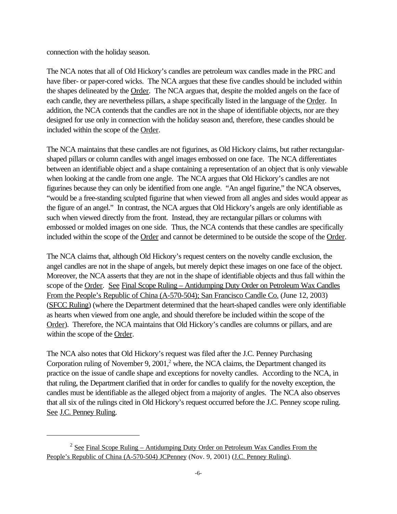connection with the holiday season.

The NCA notes that all of Old Hickory's candles are petroleum wax candles made in the PRC and have fiber- or paper-cored wicks. The NCA argues that these five candles should be included within the shapes delineated by the Order. The NCA argues that, despite the molded angels on the face of each candle, they are nevertheless pillars, a shape specifically listed in the language of the Order. In addition, the NCA contends that the candles are not in the shape of identifiable objects, nor are they designed for use only in connection with the holiday season and, therefore, these candles should be included within the scope of the Order.

The NCA maintains that these candles are not figurines, as Old Hickory claims, but rather rectangularshaped pillars or column candles with angel images embossed on one face. The NCA differentiates between an identifiable object and a shape containing a representation of an object that is only viewable when looking at the candle from one angle. The NCA argues that Old Hickory's candles are not figurines because they can only be identified from one angle. "An angel figurine," the NCA observes, "would be a free-standing sculpted figurine that when viewed from all angles and sides would appear as the figure of an angel." In contrast, the NCA argues that Old Hickory's angels are only identifiable as such when viewed directly from the front. Instead, they are rectangular pillars or columns with embossed or molded images on one side. Thus, the NCA contends that these candles are specifically included within the scope of the Order and cannot be determined to be outside the scope of the Order.

The NCA claims that, although Old Hickory's request centers on the novelty candle exclusion, the angel candles are not in the shape of angels, but merely depict these images on one face of the object. Moreover, the NCA asserts that they are not in the shape of identifiable objects and thus fall within the scope of the Order. See Final Scope Ruling – Antidumping Duty Order on Petroleum Wax Candles From the People's Republic of China (A-570-504); San Francisco Candle Co. (June 12, 2003) (SFCC Ruling) (where the Department determined that the heart-shaped candles were only identifiable as hearts when viewed from one angle, and should therefore be included within the scope of the Order). Therefore, the NCA maintains that Old Hickory's candles are columns or pillars, and are within the scope of the Order.

The NCA also notes that Old Hickory's request was filed after the J.C. Penney Purchasing Corporation ruling of November 9,  $2001$ , $^2$  where, the NCA claims, the Department changed its practice on the issue of candle shape and exceptions for novelty candles. According to the NCA, in that ruling, the Department clarified that in order for candles to qualify for the novelty exception, the candles must be identifiable as the alleged object from a majority of angles. The NCA also observes that all six of the rulings cited in Old Hickory's request occurred before the J.C. Penney scope ruling. See J.C. Penney Ruling.

 $2 \text{ See Final}\$  Scope Ruling – Antidumping Duty Order on Petroleum Wax Candles From the People's Republic of China (A-570-504) JCPenney (Nov. 9, 2001) (J.C. Penney Ruling).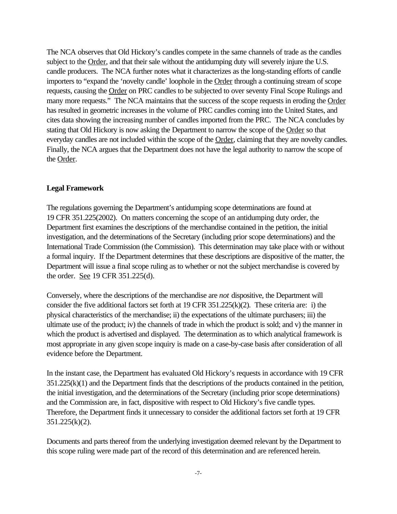The NCA observes that Old Hickory's candles compete in the same channels of trade as the candles subject to the Order, and that their sale without the antidumping duty will severely injure the U.S. candle producers. The NCA further notes what it characterizes as the long-standing efforts of candle importers to "expand the 'novelty candle' loophole in the Order through a continuing stream of scope requests, causing the Order on PRC candles to be subjected to over seventy Final Scope Rulings and many more requests." The NCA maintains that the success of the scope requests in eroding the Order has resulted in geometric increases in the volume of PRC candles coming into the United States, and cites data showing the increasing number of candles imported from the PRC. The NCA concludes by stating that Old Hickory is now asking the Department to narrow the scope of the Order so that everyday candles are not included within the scope of the Order, claiming that they are novelty candles. Finally, the NCA argues that the Department does not have the legal authority to narrow the scope of the Order.

#### **Legal Framework**

The regulations governing the Department's antidumping scope determinations are found at 19 CFR 351.225(2002). On matters concerning the scope of an antidumping duty order, the Department first examines the descriptions of the merchandise contained in the petition, the initial investigation, and the determinations of the Secretary (including prior scope determinations) and the International Trade Commission (the Commission). This determination may take place with or without a formal inquiry. If the Department determines that these descriptions are dispositive of the matter, the Department will issue a final scope ruling as to whether or not the subject merchandise is covered by the order. See 19 CFR 351.225(d).

Conversely, where the descriptions of the merchandise are *not* dispositive, the Department will consider the five additional factors set forth at 19 CFR 351.225(k)(2). These criteria are: i) the physical characteristics of the merchandise; ii) the expectations of the ultimate purchasers; iii) the ultimate use of the product; iv) the channels of trade in which the product is sold; and v) the manner in which the product is advertised and displayed. The determination as to which analytical framework is most appropriate in any given scope inquiry is made on a case-by-case basis after consideration of all evidence before the Department.

In the instant case, the Department has evaluated Old Hickory's requests in accordance with 19 CFR 351.225(k)(1) and the Department finds that the descriptions of the products contained in the petition, the initial investigation, and the determinations of the Secretary (including prior scope determinations) and the Commission are, in fact, dispositive with respect to Old Hickory's five candle types. Therefore, the Department finds it unnecessary to consider the additional factors set forth at 19 CFR 351.225(k)(2).

Documents and parts thereof from the underlying investigation deemed relevant by the Department to this scope ruling were made part of the record of this determination and are referenced herein.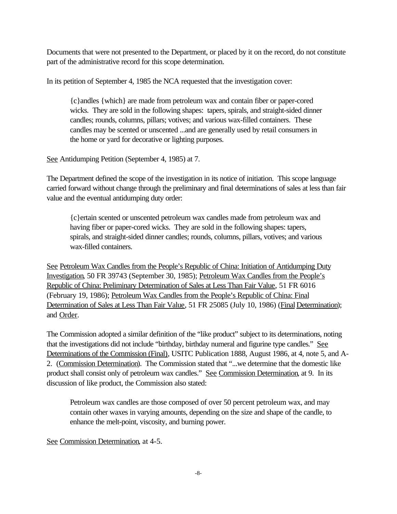Documents that were not presented to the Department, or placed by it on the record, do not constitute part of the administrative record for this scope determination.

In its petition of September 4, 1985 the NCA requested that the investigation cover:

{c}andles {which} are made from petroleum wax and contain fiber or paper-cored wicks. They are sold in the following shapes: tapers, spirals, and straight-sided dinner candles; rounds, columns, pillars; votives; and various wax-filled containers. These candles may be scented or unscented ...and are generally used by retail consumers in the home or yard for decorative or lighting purposes.

See Antidumping Petition (September 4, 1985) at 7.

The Department defined the scope of the investigation in its notice of initiation. This scope language carried forward without change through the preliminary and final determinations of sales at less than fair value and the eventual antidumping duty order:

{c}ertain scented or unscented petroleum wax candles made from petroleum wax and having fiber or paper-cored wicks. They are sold in the following shapes: tapers, spirals, and straight-sided dinner candles; rounds, columns, pillars, votives; and various wax-filled containers.

See Petroleum Wax Candles from the People's Republic of China: Initiation of Antidumping Duty Investigation, 50 FR 39743 (September 30, 1985); Petroleum Wax Candles from the People's Republic of China: Preliminary Determination of Sales at Less Than Fair Value, 51 FR 6016 (February 19, 1986); Petroleum Wax Candles from the People's Republic of China: Final Determination of Sales at Less Than Fair Value, 51 FR 25085 (July 10, 1986) (Final Determination); and Order.

The Commission adopted a similar definition of the "like product" subject to its determinations, noting that the investigations did not include "birthday, birthday numeral and figurine type candles." See Determinations of the Commission (Final), USITC Publication 1888, August 1986, at 4, note 5, and A-2. (Commission Determination). The Commission stated that "...we determine that the domestic like product shall consist only of petroleum wax candles." See Commission Determination, at 9. In its discussion of like product, the Commission also stated:

Petroleum wax candles are those composed of over 50 percent petroleum wax, and may contain other waxes in varying amounts, depending on the size and shape of the candle, to enhance the melt-point, viscosity, and burning power.

See Commission Determination, at 4-5.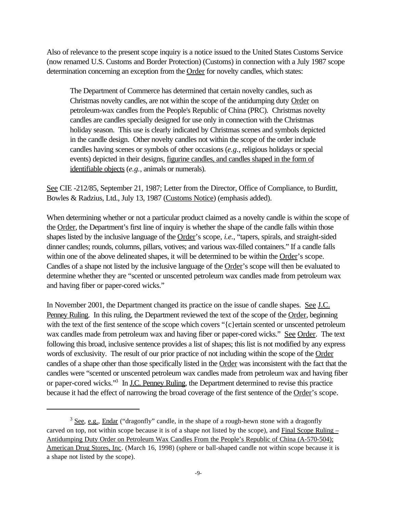Also of relevance to the present scope inquiry is a notice issued to the United States Customs Service (now renamed U.S. Customs and Border Protection) (Customs) in connection with a July 1987 scope determination concerning an exception from the Order for novelty candles, which states:

The Department of Commerce has determined that certain novelty candles, such as Christmas novelty candles, are not within the scope of the antidumping duty Order on petroleum-wax candles from the People's Republic of China (PRC). Christmas novelty candles are candles specially designed for use only in connection with the Christmas holiday season. This use is clearly indicated by Christmas scenes and symbols depicted in the candle design. Other novelty candles not within the scope of the order include candles having scenes or symbols of other occasions (*e.g.*, religious holidays or special events) depicted in their designs, figurine candles, and candles shaped in the form of identifiable objects (*e.g.*, animals or numerals).

See CIE -212/85, September 21, 1987; Letter from the Director, Office of Compliance, to Burditt, Bowles & Radzius, Ltd., July 13, 1987 (Customs Notice) (emphasis added).

When determining whether or not a particular product claimed as a novelty candle is within the scope of the Order, the Department's first line of inquiry is whether the shape of the candle falls within those shapes listed by the inclusive language of the Order's scope, *i.e.*, "tapers, spirals, and straight-sided dinner candles; rounds, columns, pillars, votives; and various wax-filled containers." If a candle falls within one of the above delineated shapes, it will be determined to be within the Order's scope. Candles of a shape not listed by the inclusive language of the Order's scope will then be evaluated to determine whether they are "scented or unscented petroleum wax candles made from petroleum wax and having fiber or paper-cored wicks."

In November 2001, the Department changed its practice on the issue of candle shapes. See J.C. Penney Ruling. In this ruling, the Department reviewed the text of the scope of the Order, beginning with the text of the first sentence of the scope which covers "{c}ertain scented or unscented petroleum wax candles made from petroleum wax and having fiber or paper-cored wicks." See Order. The text following this broad, inclusive sentence provides a list of shapes; this list is not modified by any express words of exclusivity. The result of our prior practice of not including within the scope of the Order candles of a shape other than those specifically listed in the Order was inconsistent with the fact that the candles were "scented or unscented petroleum wax candles made from petroleum wax and having fiber or paper-cored wicks."<sup>3</sup> In <u>J.C. Penney Ruling</u>, the Department determined to revise this practice because it had the effect of narrowing the broad coverage of the first sentence of the Order's scope.

 $3 \text{ See, e.g., Endar}$  ("dragonfly" candle, in the shape of a rough-hewn stone with a dragonfly carved on top, not within scope because it is of a shape not listed by the scope), and Final Scope Ruling – Antidumping Duty Order on Petroleum Wax Candles From the People's Republic of China (A-570-504); American Drug Stores, Inc. (March 16, 1998) (sphere or ball-shaped candle not within scope because it is a shape not listed by the scope).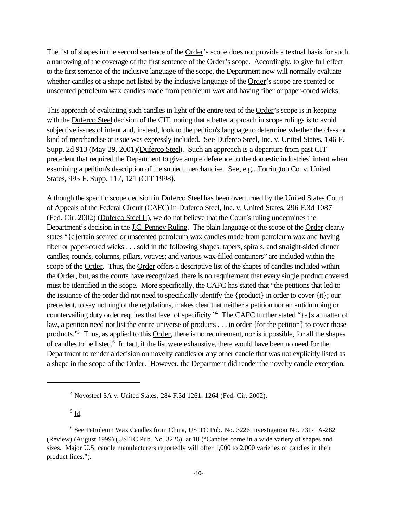The list of shapes in the second sentence of the Order's scope does not provide a textual basis for such a narrowing of the coverage of the first sentence of the Order's scope. Accordingly, to give full effect to the first sentence of the inclusive language of the scope, the Department now will normally evaluate whether candles of a shape not listed by the inclusive language of the Order's scope are scented or unscented petroleum wax candles made from petroleum wax and having fiber or paper-cored wicks.

This approach of evaluating such candles in light of the entire text of the Order's scope is in keeping with the Duferco Steel decision of the CIT, noting that a better approach in scope rulings is to avoid subjective issues of intent and, instead, look to the petition's language to determine whether the class or kind of merchandise at issue was expressly included. See Duferco Steel, Inc. v. United States, 146 F. Supp. 2d 913 (May 29, 2001)(Duferco Steel). Such an approach is a departure from past CIT precedent that required the Department to give ample deference to the domestic industries' intent when examining a petition's description of the subject merchandise. See, e.g., Torrington Co. v. United States, 995 F. Supp. 117, 121 (CIT 1998).

Although the specific scope decision in Duferco Steel has been overturned by the United States Court of Appeals of the Federal Circuit (CAFC) in Duferco Steel, Inc. v. United States, 296 F.3d 1087 (Fed. Cir. 2002) (Duferco Steel II), we do not believe that the Court's ruling undermines the Department's decision in the J.C. Penney Ruling. The plain language of the scope of the Order clearly states "{c}ertain scented or unscented petroleum wax candles made from petroleum wax and having fiber or paper-cored wicks . . . sold in the following shapes: tapers, spirals, and straight-sided dinner candles; rounds, columns, pillars, votives; and various wax-filled containers" are included within the scope of the Order. Thus, the Order offers a descriptive list of the shapes of candles included within the Order, but, as the courts have recognized, there is no requirement that every single product covered must be identified in the scope. More specifically, the CAFC has stated that "the petitions that led to the issuance of the order did not need to specifically identify the {product} in order to cover {it}; our precedent, to say nothing of the regulations, makes clear that neither a petition nor an antidumping or countervailing duty order requires that level of specificity."<sup>4</sup> The CAFC further stated "{a}s a matter of law, a petition need not list the entire universe of products . . . in order {for the petition} to cover those products."<sup>5</sup> Thus, as applied to this Order, there is no requirement, nor is it possible, for all the shapes of candles to be listed.<sup>6</sup> In fact, if the list were exhaustive, there would have been no need for the Department to render a decision on novelty candles or any other candle that was not explicitly listed as a shape in the scope of the Order. However, the Department did render the novelty candle exception,

 $^5$  <u>Id</u>.

<sup>4</sup> Novosteel SA v. United States, 284 F.3d 1261, 1264 (Fed. Cir. 2002).

<sup>&</sup>lt;sup>6</sup> See Petroleum Wax Candles from China, USITC Pub. No. 3226 Investigation No. 731-TA-282 (Review) (August 1999) (USITC Pub. No. 3226), at 18 ("Candles come in a wide variety of shapes and sizes. Major U.S. candle manufacturers reportedly will offer 1,000 to 2,000 varieties of candles in their product lines.").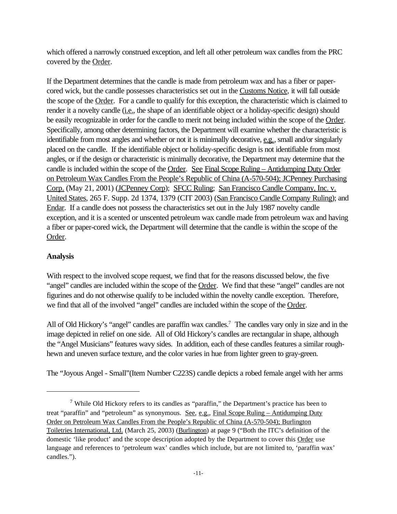which offered a narrowly construed exception, and left all other petroleum wax candles from the PRC covered by the Order.

If the Department determines that the candle is made from petroleum wax and has a fiber or papercored wick, but the candle possesses characteristics set out in the Customs Notice, it will fall outside the scope of the Order. For a candle to qualify for this exception, the characteristic which is claimed to render it a novelty candle (*i.e.*, the shape of an identifiable object or a holiday-specific design) should be easily recognizable in order for the candle to merit not being included within the scope of the Order. Specifically, among other determining factors, the Department will examine whether the characteristic is identifiable from most angles and whether or not it is minimally decorative, e.g., small and/or singularly placed on the candle. If the identifiable object or holiday-specific design is not identifiable from most angles, or if the design or characteristic is minimally decorative, the Department may determine that the candle is included within the scope of the Order. See Final Scope Ruling – Antidumping Duty Order on Petroleum Wax Candles From the People's Republic of China (A-570-504); JCPenney Purchasing Corp. (May 21, 2001) (JCPenney Corp); SFCC Ruling; San Francisco Candle Company, Inc. v. United States, 265 F. Supp. 2d 1374, 1379 (CIT 2003) (San Francisco Candle Company Ruling); and Endar. If a candle does not possess the characteristics set out in the July 1987 novelty candle exception, and it is a scented or unscented petroleum wax candle made from petroleum wax and having a fiber or paper-cored wick, the Department will determine that the candle is within the scope of the Order.

## **Analysis**

With respect to the involved scope request, we find that for the reasons discussed below, the five "angel" candles are included within the scope of the Order. We find that these "angel" candles are not figurines and do not otherwise qualify to be included within the novelty candle exception. Therefore, we find that all of the involved "angel" candles are included within the scope of the Order.

All of Old Hickory's "angel" candles are paraffin wax candles.<sup>7</sup> The candles vary only in size and in the image depicted in relief on one side. All of Old Hickory's candles are rectangular in shape, although the "Angel Musicians" features wavy sides. In addition, each of these candles features a similar roughhewn and uneven surface texture, and the color varies in hue from lighter green to gray-green.

The "Joyous Angel - Small"(Item Number C223S) candle depicts a robed female angel with her arms

<sup>&</sup>lt;sup>7</sup> While Old Hickory refers to its candles as "paraffin," the Department's practice has been to treat "paraffin" and "petroleum" as synonymous. See, e.g., Final Scope Ruling – Antidumping Duty Order on Petroleum Wax Candles From the People's Republic of China (A-570-504); Burlington Toiletries International, Ltd. (March 25, 2003) (Burlington) at page 9 ("Both the ITC's definition of the domestic 'like product' and the scope description adopted by the Department to cover this Order use language and references to 'petroleum wax' candles which include, but are not limited to, 'paraffin wax' candles.").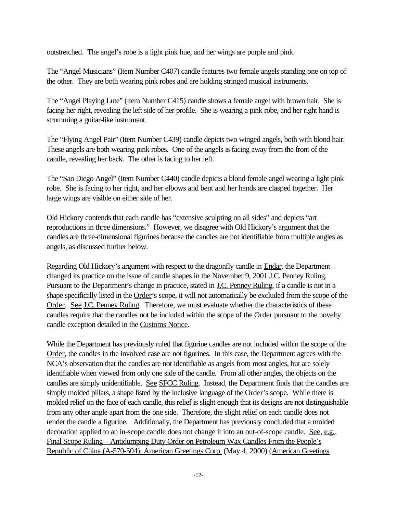outstretched. The angel's robe is a light pink hue, and her wings are purple and pink.

The "Angel Musicians" (Item Number C407) candle features two female angels standing one on top of the other. They are both wearing pink robes and are holding stringed musical instruments.

The "Angel Playing Lute" (Item Number C415) candle shows a female angel with brown hair. She is facing her right, revealing the left side of her profile. She is wearing a pink robe, and her right hand is strumming a guitar-like instrument.

The "Flying Angel Pair" (Item Number C439) candle depicts two winged angels, both with blond hair. These angels are both wearing pink robes. One of the angels is facing away from the front of the candle, revealing her back. The other is facing to her left.

The "San Diego Angel" (Item Number C440) candle depicts a blond female angel wearing a light pink robe. She is facing to her right, and her elbows and bent and her hands are clasped together. Her large wings are visible on either side of her.

Old Hickory contends that each candle has "extensive sculpting on all sides" and depicts "art reproductions in three dimensions." However, we disagree with Old Hickory's argument that the candles are three-dimensional figurines because the candles are not identifiable from multiple angles as angels, as discussed further below.

Regarding Old Hickory's argument with respect to the dragonfly candle in **Endar**, the Department changed its practice on the issue of candle shapes in the November 9, 2001 J.C. Penney Ruling. Pursuant to the Department's change in practice, stated in J.C. Penney Ruling, if a candle is not in a shape specifically listed in the Order's scope, it will not automatically be excluded from the scope of the Order. See J.C. Penney Ruling. Therefore, we must evaluate whether the characteristics of these candles require that the candles not be included within the scope of the Order pursuant to the novelty candle exception detailed in the Customs Notice.

While the Department has previously ruled that figurine candles are not included within the scope of the Order, the candles in the involved case are not figurines. In this case, the Department agrees with the NCA's observation that the candles are not identifiable as angels from most angles, but are solely identifiable when viewed from only one side of the candle. From all other angles, the objects on the candles are simply unidentifiable. See SFCC Ruling. Instead, the Department finds that the candles are simply molded pillars, a shape listed by the inclusive language of the Order's scope. While there is molded relief on the face of each candle, this relief is slight enough that its designs are not distinguishable from any other angle apart from the one side. Therefore, the slight relief on each candle does not render the candle a figurine. Additionally, the Department has previously concluded that a molded decoration applied to an in-scope candle does not change it into an out-of-scope candle. See, e.g., Final Scope Ruling – Antidumping Duty Order on Petroleum Wax Candles From the People's Republic of China (A-570-504); American Greetings Corp. (May 4, 2000) (American Greetings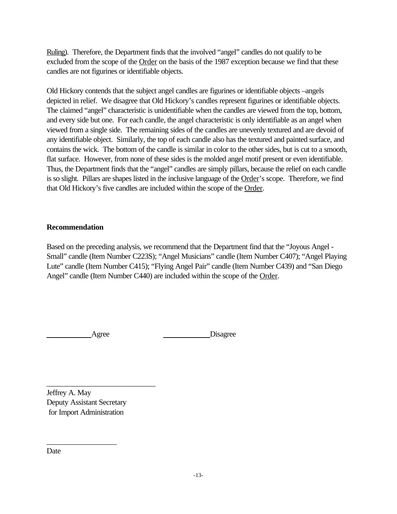Ruling). Therefore, the Department finds that the involved "angel" candles do not qualify to be excluded from the scope of the Order on the basis of the 1987 exception because we find that these candles are not figurines or identifiable objects.

Old Hickory contends that the subject angel candles are figurines or identifiable objects –angels depicted in relief. We disagree that Old Hickory's candles represent figurines or identifiable objects. The claimed "angel" characteristic is unidentifiable when the candles are viewed from the top, bottom, and every side but one. For each candle, the angel characteristic is only identifiable as an angel when viewed from a single side. The remaining sides of the candles are unevenly textured and are devoid of any identifiable object. Similarly, the top of each candle also has the textured and painted surface, and contains the wick. The bottom of the candle is similar in color to the other sides, but is cut to a smooth, flat surface. However, from none of these sides is the molded angel motif present or even identifiable. Thus, the Department finds that the "angel" candles are simply pillars, because the relief on each candle is so slight. Pillars are shapes listed in the inclusive language of the Order's scope. Therefore, we find that Old Hickory's five candles are included within the scope of the Order.

## **Recommendation**

Based on the preceding analysis, we recommend that the Department find that the "Joyous Angel - Small" candle (Item Number C223S); "Angel Musicians" candle (Item Number C407); "Angel Playing Lute" candle (Item Number C415); "Flying Angel Pair" candle (Item Number C439) and "San Diego Angel" candle (Item Number C440) are included within the scope of the Order.

\_\_\_\_\_\_\_\_\_\_\_\_\_\_\_\_\_\_\_\_\_\_\_\_\_\_\_\_

Agree Disagree

Jeffrey A. May Deputy Assistant Secretary for Import Administration

\_\_\_\_\_\_\_\_\_\_\_\_\_\_\_\_\_\_

Date